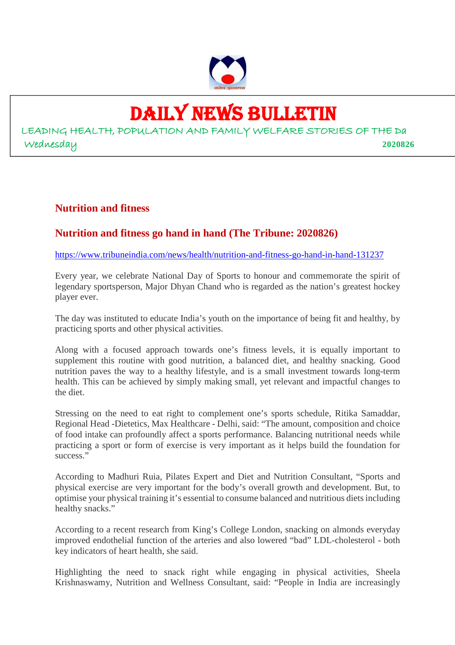

## DAILY NEWS BULLETIN

LEADING HEALTH, POPULATION AND FAMILY WELFARE STORIES OF THE Da Wednesday **2020826**

#### **Nutrition and fitness**

#### **Nutrition and fitness go hand in hand (The Tribune: 2020826)**

https://www.tribuneindia.com/news/health/nutrition-and-fitness-go-hand-in-hand-131237

Every year, we celebrate National Day of Sports to honour and commemorate the spirit of legendary sportsperson, Major Dhyan Chand who is regarded as the nation's greatest hockey player ever.

The day was instituted to educate India's youth on the importance of being fit and healthy, by practicing sports and other physical activities.

Along with a focused approach towards one's fitness levels, it is equally important to supplement this routine with good nutrition, a balanced diet, and healthy snacking. Good nutrition paves the way to a healthy lifestyle, and is a small investment towards long-term health. This can be achieved by simply making small, yet relevant and impactful changes to the diet.

Stressing on the need to eat right to complement one's sports schedule, Ritika Samaddar, Regional Head -Dietetics, Max Healthcare - Delhi, said: "The amount, composition and choice of food intake can profoundly affect a sports performance. Balancing nutritional needs while practicing a sport or form of exercise is very important as it helps build the foundation for success."

According to Madhuri Ruia, Pilates Expert and Diet and Nutrition Consultant, "Sports and physical exercise are very important for the body's overall growth and development. But, to optimise your physical training it's essential to consume balanced and nutritious diets including healthy snacks."

According to a recent research from King's College London, snacking on almonds everyday improved endothelial function of the arteries and also lowered "bad" LDL-cholesterol - both key indicators of heart health, she said.

Highlighting the need to snack right while engaging in physical activities, Sheela Krishnaswamy, Nutrition and Wellness Consultant, said: "People in India are increasingly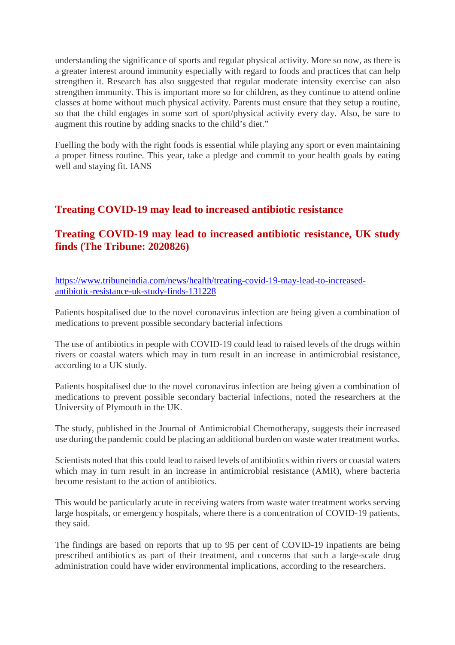understanding the significance of sports and regular physical activity. More so now, as there is a greater interest around immunity especially with regard to foods and practices that can help strengthen it. Research has also suggested that regular moderate intensity exercise can also strengthen immunity. This is important more so for children, as they continue to attend online classes at home without much physical activity. Parents must ensure that they setup a routine, so that the child engages in some sort of sport/physical activity every day. Also, be sure to augment this routine by adding snacks to the child's diet."

Fuelling the body with the right foods is essential while playing any sport or even maintaining a proper fitness routine. This year, take a pledge and commit to your health goals by eating well and staying fit. IANS

#### **Treating COVID-19 may lead to increased antibiotic resistance**

#### **Treating COVID-19 may lead to increased antibiotic resistance, UK study finds (The Tribune: 2020826)**

https://www.tribuneindia.com/news/health/treating-covid-19-may-lead-to-increasedantibiotic-resistance-uk-study-finds-131228

Patients hospitalised due to the novel coronavirus infection are being given a combination of medications to prevent possible secondary bacterial infections

The use of antibiotics in people with COVID-19 could lead to raised levels of the drugs within rivers or coastal waters which may in turn result in an increase in antimicrobial resistance, according to a UK study.

Patients hospitalised due to the novel coronavirus infection are being given a combination of medications to prevent possible secondary bacterial infections, noted the researchers at the University of Plymouth in the UK.

The study, published in the Journal of Antimicrobial Chemotherapy, suggests their increased use during the pandemic could be placing an additional burden on waste water treatment works.

Scientists noted that this could lead to raised levels of antibiotics within rivers or coastal waters which may in turn result in an increase in antimicrobial resistance (AMR), where bacteria become resistant to the action of antibiotics.

This would be particularly acute in receiving waters from waste water treatment works serving large hospitals, or emergency hospitals, where there is a concentration of COVID-19 patients, they said.

The findings are based on reports that up to 95 per cent of COVID-19 inpatients are being prescribed antibiotics as part of their treatment, and concerns that such a large-scale drug administration could have wider environmental implications, according to the researchers.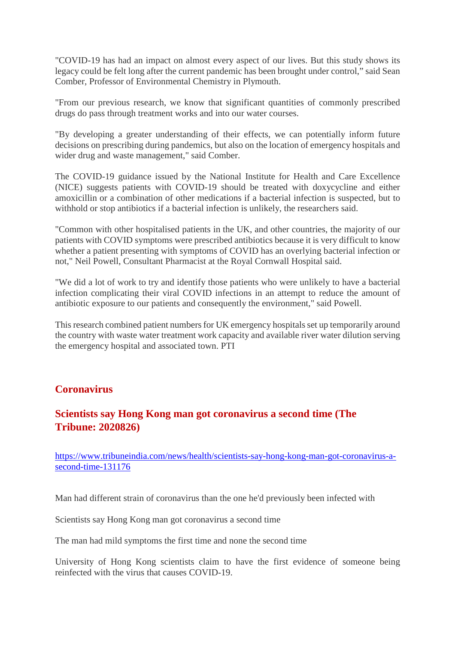"COVID-19 has had an impact on almost every aspect of our lives. But this study shows its legacy could be felt long after the current pandemic has been brought under control," said Sean Comber, Professor of Environmental Chemistry in Plymouth.

"From our previous research, we know that significant quantities of commonly prescribed drugs do pass through treatment works and into our water courses.

"By developing a greater understanding of their effects, we can potentially inform future decisions on prescribing during pandemics, but also on the location of emergency hospitals and wider drug and waste management," said Comber.

The COVID-19 guidance issued by the National Institute for Health and Care Excellence (NICE) suggests patients with COVID-19 should be treated with doxycycline and either amoxicillin or a combination of other medications if a bacterial infection is suspected, but to withhold or stop antibiotics if a bacterial infection is unlikely, the researchers said.

"Common with other hospitalised patients in the UK, and other countries, the majority of our patients with COVID symptoms were prescribed antibiotics because it is very difficult to know whether a patient presenting with symptoms of COVID has an overlying bacterial infection or not," Neil Powell, Consultant Pharmacist at the Royal Cornwall Hospital said.

"We did a lot of work to try and identify those patients who were unlikely to have a bacterial infection complicating their viral COVID infections in an attempt to reduce the amount of antibiotic exposure to our patients and consequently the environment," said Powell.

This research combined patient numbers for UK emergency hospitals set up temporarily around the country with waste water treatment work capacity and available river water dilution serving the emergency hospital and associated town. PTI

#### **Coronavirus**

#### **Scientists say Hong Kong man got coronavirus a second time (The Tribune: 2020826)**

https://www.tribuneindia.com/news/health/scientists-say-hong-kong-man-got-coronavirus-asecond-time-131176

Man had different strain of coronavirus than the one he'd previously been infected with

Scientists say Hong Kong man got coronavirus a second time

The man had mild symptoms the first time and none the second time

University of Hong Kong scientists claim to have the first evidence of someone being reinfected with the virus that causes COVID-19.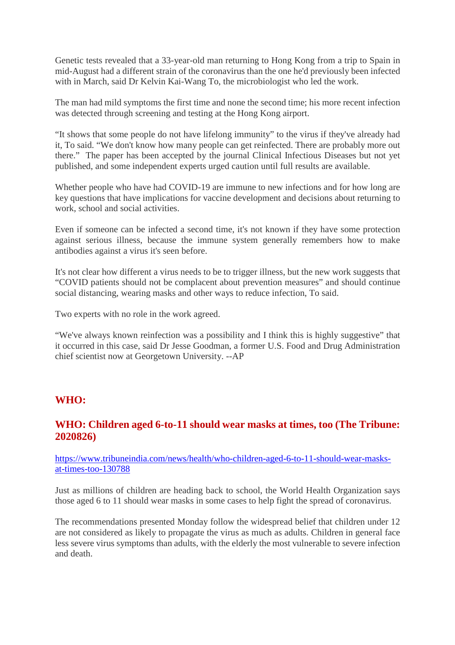Genetic tests revealed that a 33-year-old man returning to Hong Kong from a trip to Spain in mid-August had a different strain of the coronavirus than the one he'd previously been infected with in March, said Dr Kelvin Kai-Wang To, the microbiologist who led the work.

The man had mild symptoms the first time and none the second time; his more recent infection was detected through screening and testing at the Hong Kong airport.

"It shows that some people do not have lifelong immunity" to the virus if they've already had it, To said. "We don't know how many people can get reinfected. There are probably more out there." The paper has been accepted by the journal Clinical Infectious Diseases but not yet published, and some independent experts urged caution until full results are available.

Whether people who have had COVID-19 are immune to new infections and for how long are key questions that have implications for vaccine development and decisions about returning to work, school and social activities.

Even if someone can be infected a second time, it's not known if they have some protection against serious illness, because the immune system generally remembers how to make antibodies against a virus it's seen before.

It's not clear how different a virus needs to be to trigger illness, but the new work suggests that "COVID patients should not be complacent about prevention measures" and should continue social distancing, wearing masks and other ways to reduce infection, To said.

Two experts with no role in the work agreed.

"We've always known reinfection was a possibility and I think this is highly suggestive" that it occurred in this case, said Dr Jesse Goodman, a former U.S. Food and Drug Administration chief scientist now at Georgetown University. --AP

#### **WHO:**

#### **WHO: Children aged 6-to-11 should wear masks at times, too (The Tribune: 2020826)**

https://www.tribuneindia.com/news/health/who-children-aged-6-to-11-should-wear-masksat-times-too-130788

Just as millions of children are heading back to school, the World Health Organization says those aged 6 to 11 should wear masks in some cases to help fight the spread of coronavirus.

The recommendations presented Monday follow the widespread belief that children under 12 are not considered as likely to propagate the virus as much as adults. Children in general face less severe virus symptoms than adults, with the elderly the most vulnerable to severe infection and death.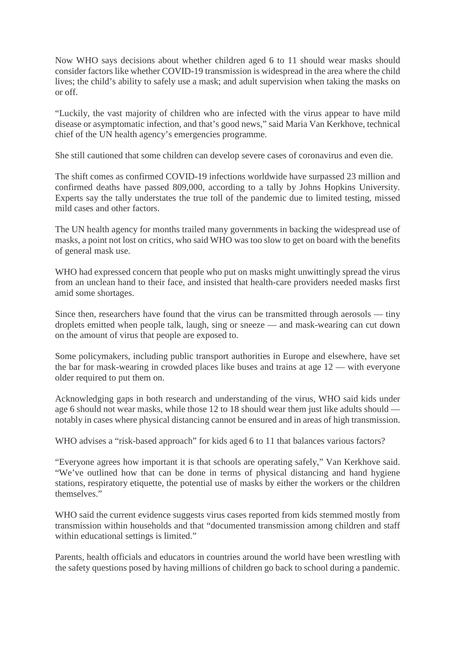Now WHO says decisions about whether children aged 6 to 11 should wear masks should consider factors like whether COVID-19 transmission is widespread in the area where the child lives; the child's ability to safely use a mask; and adult supervision when taking the masks on or off.

"Luckily, the vast majority of children who are infected with the virus appear to have mild disease or asymptomatic infection, and that's good news," said Maria Van Kerkhove, technical chief of the UN health agency's emergencies programme.

She still cautioned that some children can develop severe cases of coronavirus and even die.

The shift comes as confirmed COVID-19 infections worldwide have surpassed 23 million and confirmed deaths have passed 809,000, according to a tally by Johns Hopkins University. Experts say the tally understates the true toll of the pandemic due to limited testing, missed mild cases and other factors.

The UN health agency for months trailed many governments in backing the widespread use of masks, a point not lost on critics, who said WHO was too slow to get on board with the benefits of general mask use.

WHO had expressed concern that people who put on masks might unwittingly spread the virus from an unclean hand to their face, and insisted that health-care providers needed masks first amid some shortages.

Since then, researchers have found that the virus can be transmitted through aerosols — tiny droplets emitted when people talk, laugh, sing or sneeze — and mask-wearing can cut down on the amount of virus that people are exposed to.

Some policymakers, including public transport authorities in Europe and elsewhere, have set the bar for mask-wearing in crowded places like buses and trains at age 12 — with everyone older required to put them on.

Acknowledging gaps in both research and understanding of the virus, WHO said kids under age 6 should not wear masks, while those 12 to 18 should wear them just like adults should notably in cases where physical distancing cannot be ensured and in areas of high transmission.

WHO advises a "risk-based approach" for kids aged 6 to 11 that balances various factors?

"Everyone agrees how important it is that schools are operating safely," Van Kerkhove said. "We've outlined how that can be done in terms of physical distancing and hand hygiene stations, respiratory etiquette, the potential use of masks by either the workers or the children themselves."

WHO said the current evidence suggests virus cases reported from kids stemmed mostly from transmission within households and that "documented transmission among children and staff within educational settings is limited."

Parents, health officials and educators in countries around the world have been wrestling with the safety questions posed by having millions of children go back to school during a pandemic.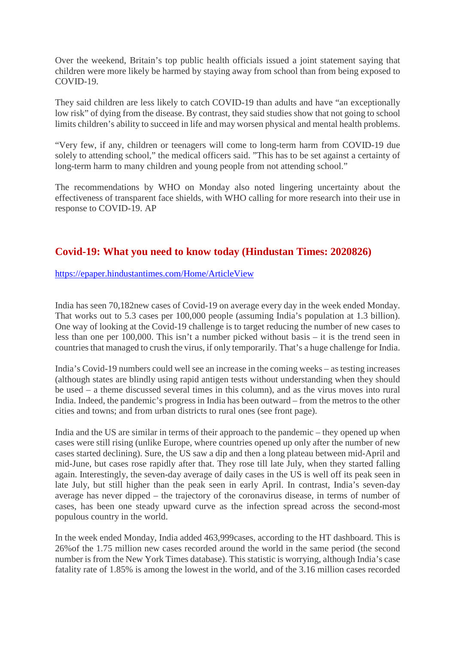Over the weekend, Britain's top public health officials issued a joint statement saying that children were more likely be harmed by staying away from school than from being exposed to COVID-19.

They said children are less likely to catch COVID-19 than adults and have "an exceptionally low risk" of dying from the disease. By contrast, they said studies show that not going to school limits children's ability to succeed in life and may worsen physical and mental health problems.

"Very few, if any, children or teenagers will come to long-term harm from COVID-19 due solely to attending school," the medical officers said. "This has to be set against a certainty of long-term harm to many children and young people from not attending school."

The recommendations by WHO on Monday also noted lingering uncertainty about the effectiveness of transparent face shields, with WHO calling for more research into their use in response to COVID-19. AP

#### **Covid-19: What you need to know today (Hindustan Times: 2020826)**

https://epaper.hindustantimes.com/Home/ArticleView

India has seen 70,182new cases of Covid-19 on average every day in the week ended Monday. That works out to 5.3 cases per 100,000 people (assuming India's population at 1.3 billion). One way of looking at the Covid-19 challenge is to target reducing the number of new cases to less than one per 100,000. This isn't a number picked without basis – it is the trend seen in countries that managed to crush the virus, if only temporarily. That's a huge challenge for India.

India's Covid-19 numbers could well see an increase in the coming weeks – as testing increases (although states are blindly using rapid antigen tests without understanding when they should be used – a theme discussed several times in this column), and as the virus moves into rural India. Indeed, the pandemic's progress in India has been outward – from the metros to the other cities and towns; and from urban districts to rural ones (see front page).

India and the US are similar in terms of their approach to the pandemic – they opened up when cases were still rising (unlike Europe, where countries opened up only after the number of new cases started declining). Sure, the US saw a dip and then a long plateau between mid-April and mid-June, but cases rose rapidly after that. They rose till late July, when they started falling again. Interestingly, the seven-day average of daily cases in the US is well off its peak seen in late July, but still higher than the peak seen in early April. In contrast, India's seven-day average has never dipped – the trajectory of the coronavirus disease, in terms of number of cases, has been one steady upward curve as the infection spread across the second-most populous country in the world.

In the week ended Monday, India added 463,999cases, according to the HT dashboard. This is 26%of the 1.75 million new cases recorded around the world in the same period (the second number is from the New York Times database). This statistic is worrying, although India's case fatality rate of 1.85% is among the lowest in the world, and of the 3.16 million cases recorded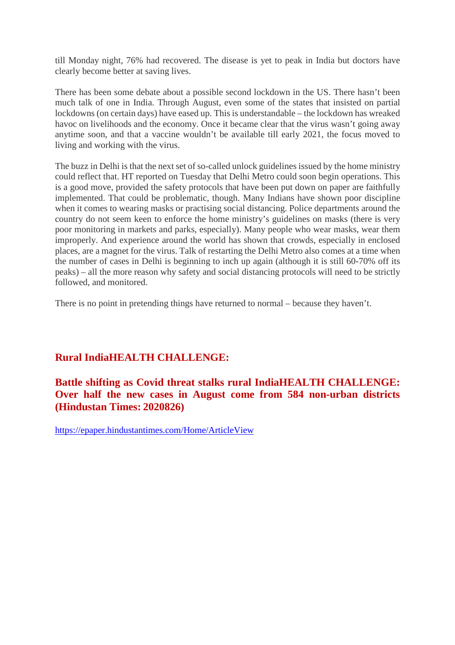till Monday night, 76% had recovered. The disease is yet to peak in India but doctors have clearly become better at saving lives.

There has been some debate about a possible second lockdown in the US. There hasn't been much talk of one in India. Through August, even some of the states that insisted on partial lockdowns (on certain days) have eased up. This is understandable – the lockdown has wreaked havoc on livelihoods and the economy. Once it became clear that the virus wasn't going away anytime soon, and that a vaccine wouldn't be available till early 2021, the focus moved to living and working with the virus.

The buzz in Delhi is that the next set of so-called unlock guidelines issued by the home ministry could reflect that. HT reported on Tuesday that Delhi Metro could soon begin operations. This is a good move, provided the safety protocols that have been put down on paper are faithfully implemented. That could be problematic, though. Many Indians have shown poor discipline when it comes to wearing masks or practising social distancing. Police departments around the country do not seem keen to enforce the home ministry's guidelines on masks (there is very poor monitoring in markets and parks, especially). Many people who wear masks, wear them improperly. And experience around the world has shown that crowds, especially in enclosed places, are a magnet for the virus. Talk of restarting the Delhi Metro also comes at a time when the number of cases in Delhi is beginning to inch up again (although it is still 60-70% off its peaks) – all the more reason why safety and social distancing protocols will need to be strictly followed, and monitored.

There is no point in pretending things have returned to normal – because they haven't.

#### **Rural IndiaHEALTH CHALLENGE:**

**Battle shifting as Covid threat stalks rural IndiaHEALTH CHALLENGE: Over half the new cases in August come from 584 non-urban districts (Hindustan Times: 2020826)**

https://epaper.hindustantimes.com/Home/ArticleView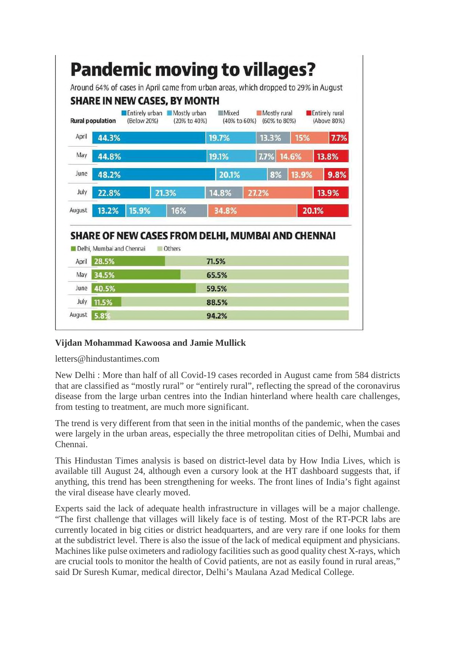|        |                                  |             | Entirely urban Mostly urban | <b>SHARE IN NEW CASES, BY MONTH</b><br><b>Mixed</b> | Mostly rural          | <b>Entirely rural</b> |      |
|--------|----------------------------------|-------------|-----------------------------|-----------------------------------------------------|-----------------------|-----------------------|------|
| April  | <b>Rural population</b><br>44.3% | (Below 20%) | (20% to 40%)                | (40% to 60%)<br>19.7%                               | (60% to 80%)<br>13.3% | (Above 80%)<br>15%    | 7.7% |
| May    | 44.8%                            |             |                             | 19.1%                                               | 7.7% 14.6%            | 13.8%                 |      |
| June   | 48.2%                            |             |                             | 20.1%                                               | 8%                    | 13.9%                 | 9.8% |
| July   | 22.8%                            |             | 21.3%                       | 14.8%                                               | 27.2%                 | 13.9%                 |      |
| August | 13.2%                            | 15.9%       | 16%                         | 34.8%                                               |                       | 20.1%                 |      |

#### **Vijdan Mohammad Kawoosa and Jamie Mullick**

letters@hindustantimes.com

New Delhi : More than half of all Covid-19 cases recorded in August came from 584 districts that are classified as "mostly rural" or "entirely rural", reflecting the spread of the coronavirus disease from the large urban centres into the Indian hinterland where health care challenges, from testing to treatment, are much more significant.

The trend is very different from that seen in the initial months of the pandemic, when the cases were largely in the urban areas, especially the three metropolitan cities of Delhi, Mumbai and Chennai.

This Hindustan Times analysis is based on district-level data by How India Lives, which is available till August 24, although even a cursory look at the HT dashboard suggests that, if anything, this trend has been strengthening for weeks. The front lines of India's fight against the viral disease have clearly moved.

Experts said the lack of adequate health infrastructure in villages will be a major challenge. "The first challenge that villages will likely face is of testing. Most of the RT-PCR labs are currently located in big cities or district headquarters, and are very rare if one looks for them at the subdistrict level. There is also the issue of the lack of medical equipment and physicians. Machines like pulse oximeters and radiology facilities such as good quality chest X-rays, which are crucial tools to monitor the health of Covid patients, are not as easily found in rural areas," said Dr Suresh Kumar, medical director, Delhi's Maulana Azad Medical College.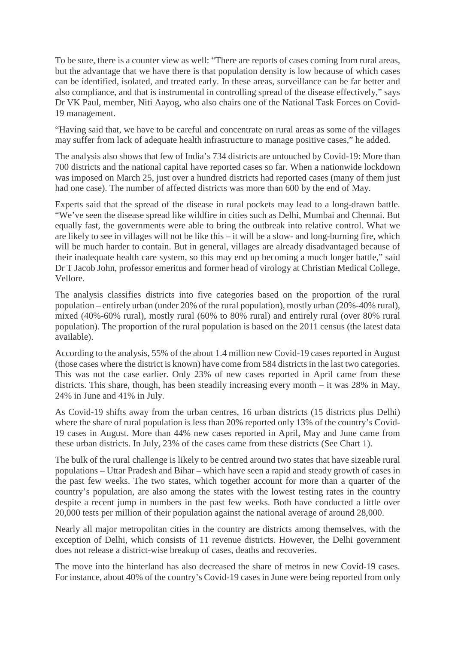To be sure, there is a counter view as well: "There are reports of cases coming from rural areas, but the advantage that we have there is that population density is low because of which cases can be identified, isolated, and treated early. In these areas, surveillance can be far better and also compliance, and that is instrumental in controlling spread of the disease effectively," says Dr VK Paul, member, Niti Aayog, who also chairs one of the National Task Forces on Covid-19 management.

"Having said that, we have to be careful and concentrate on rural areas as some of the villages may suffer from lack of adequate health infrastructure to manage positive cases," he added.

The analysis also shows that few of India's 734 districts are untouched by Covid-19: More than 700 districts and the national capital have reported cases so far. When a nationwide lockdown was imposed on March 25, just over a hundred districts had reported cases (many of them just had one case). The number of affected districts was more than 600 by the end of May.

Experts said that the spread of the disease in rural pockets may lead to a long-drawn battle. "We've seen the disease spread like wildfire in cities such as Delhi, Mumbai and Chennai. But equally fast, the governments were able to bring the outbreak into relative control. What we are likely to see in villages will not be like this – it will be a slow- and long-burning fire, which will be much harder to contain. But in general, villages are already disadvantaged because of their inadequate health care system, so this may end up becoming a much longer battle," said Dr T Jacob John, professor emeritus and former head of virology at Christian Medical College, Vellore.

The analysis classifies districts into five categories based on the proportion of the rural population – entirely urban (under 20% of the rural population), mostly urban (20%-40% rural), mixed (40%-60% rural), mostly rural (60% to 80% rural) and entirely rural (over 80% rural population). The proportion of the rural population is based on the 2011 census (the latest data available).

According to the analysis, 55% of the about 1.4 million new Covid-19 cases reported in August (those cases where the district is known) have come from 584 districts in the last two categories. This was not the case earlier. Only 23% of new cases reported in April came from these districts. This share, though, has been steadily increasing every month – it was 28% in May, 24% in June and 41% in July.

As Covid-19 shifts away from the urban centres, 16 urban districts (15 districts plus Delhi) where the share of rural population is less than 20% reported only 13% of the country's Covid-19 cases in August. More than 44% new cases reported in April, May and June came from these urban districts. In July, 23% of the cases came from these districts (See Chart 1).

The bulk of the rural challenge is likely to be centred around two states that have sizeable rural populations – Uttar Pradesh and Bihar – which have seen a rapid and steady growth of cases in the past few weeks. The two states, which together account for more than a quarter of the country's population, are also among the states with the lowest testing rates in the country despite a recent jump in numbers in the past few weeks. Both have conducted a little over 20,000 tests per million of their population against the national average of around 28,000.

Nearly all major metropolitan cities in the country are districts among themselves, with the exception of Delhi, which consists of 11 revenue districts. However, the Delhi government does not release a district-wise breakup of cases, deaths and recoveries.

The move into the hinterland has also decreased the share of metros in new Covid-19 cases. For instance, about 40% of the country's Covid-19 cases in June were being reported from only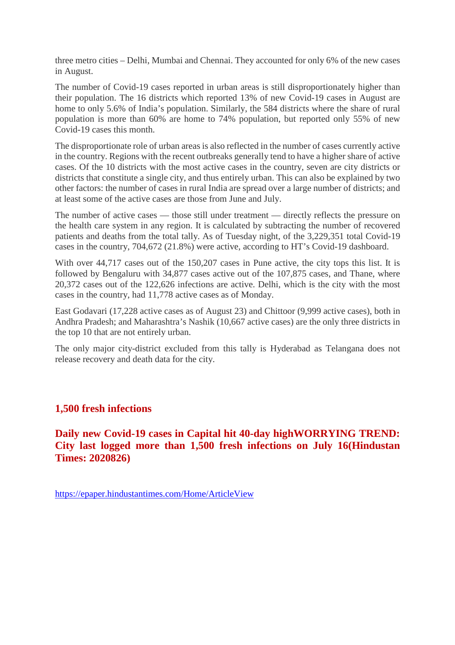three metro cities – Delhi, Mumbai and Chennai. They accounted for only 6% of the new cases in August.

The number of Covid-19 cases reported in urban areas is still disproportionately higher than their population. The 16 districts which reported 13% of new Covid-19 cases in August are home to only 5.6% of India's population. Similarly, the 584 districts where the share of rural population is more than 60% are home to 74% population, but reported only 55% of new Covid-19 cases this month.

The disproportionate role of urban areas is also reflected in the number of cases currently active in the country. Regions with the recent outbreaks generally tend to have a higher share of active cases. Of the 10 districts with the most active cases in the country, seven are city districts or districts that constitute a single city, and thus entirely urban. This can also be explained by two other factors: the number of cases in rural India are spread over a large number of districts; and at least some of the active cases are those from June and July.

The number of active cases — those still under treatment — directly reflects the pressure on the health care system in any region. It is calculated by subtracting the number of recovered patients and deaths from the total tally. As of Tuesday night, of the 3,229,351 total Covid-19 cases in the country, 704,672 (21.8%) were active, according to HT's Covid-19 dashboard.

With over  $44,717$  cases out of the 150,207 cases in Pune active, the city tops this list. It is followed by Bengaluru with 34,877 cases active out of the 107,875 cases, and Thane, where 20,372 cases out of the 122,626 infections are active. Delhi, which is the city with the most cases in the country, had 11,778 active cases as of Monday.

East Godavari (17,228 active cases as of August 23) and Chittoor (9,999 active cases), both in Andhra Pradesh; and Maharashtra's Nashik (10,667 active cases) are the only three districts in the top 10 that are not entirely urban.

The only major city-district excluded from this tally is Hyderabad as Telangana does not release recovery and death data for the city.

#### **1,500 fresh infections**

**Daily new Covid-19 cases in Capital hit 40-day highWORRYING TREND: City last logged more than 1,500 fresh infections on July 16(Hindustan Times: 2020826)**

https://epaper.hindustantimes.com/Home/ArticleView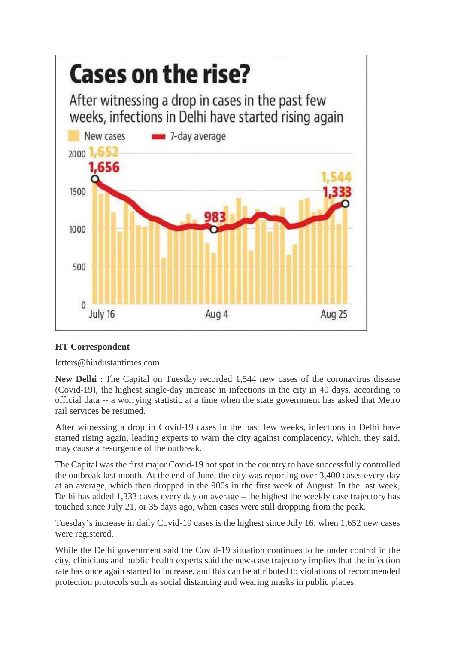

#### **HT Correspondent**

letters@hindustantimes.com

**New Delhi :** The Capital on Tuesday recorded 1,544 new cases of the coronavirus disease (Covid-19), the highest single-day increase in infections in the city in 40 days, according to official data -- a worrying statistic at a time when the state government has asked that Metro rail services be resumed.

After witnessing a drop in Covid-19 cases in the past few weeks, infections in Delhi have started rising again, leading experts to warn the city against complacency, which, they said, may cause a resurgence of the outbreak.

The Capital was the first major Covid-19 hot spot in the country to have successfully controlled the outbreak last month. At the end of June, the city was reporting over 3,400 cases every day at an average, which then dropped in the 900s in the first week of August. In the last week, Delhi has added 1,333 cases every day on average – the highest the weekly case trajectory has touched since July 21, or 35 days ago, when cases were still dropping from the peak.

Tuesday's increase in daily Covid-19 cases is the highest since July 16, when 1,652 new cases were registered.

While the Delhi government said the Covid-19 situation continues to be under control in the city, clinicians and public health experts said the new-case trajectory implies that the infection rate has once again started to increase, and this can be attributed to violations of recommended protection protocols such as social distancing and wearing masks in public places.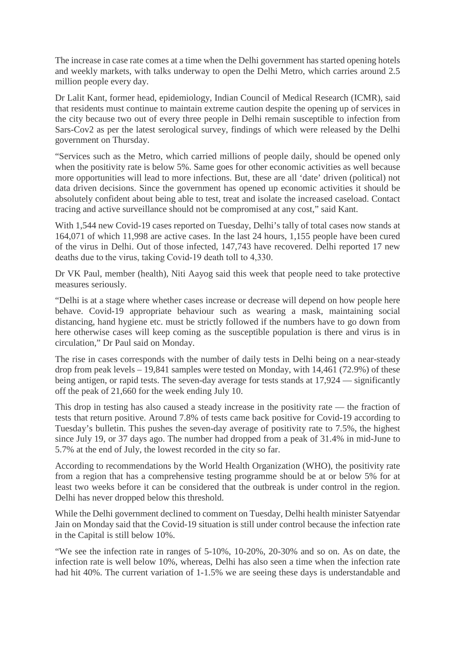The increase in case rate comes at a time when the Delhi government has started opening hotels and weekly markets, with talks underway to open the Delhi Metro, which carries around 2.5 million people every day.

Dr Lalit Kant, former head, epidemiology, Indian Council of Medical Research (ICMR), said that residents must continue to maintain extreme caution despite the opening up of services in the city because two out of every three people in Delhi remain susceptible to infection from Sars-Cov2 as per the latest serological survey, findings of which were released by the Delhi government on Thursday.

"Services such as the Metro, which carried millions of people daily, should be opened only when the positivity rate is below 5%. Same goes for other economic activities as well because more opportunities will lead to more infections. But, these are all 'date' driven (political) not data driven decisions. Since the government has opened up economic activities it should be absolutely confident about being able to test, treat and isolate the increased caseload. Contact tracing and active surveillance should not be compromised at any cost," said Kant.

With 1,544 new Covid-19 cases reported on Tuesday, Delhi's tally of total cases now stands at 164,071 of which 11,998 are active cases. In the last 24 hours, 1,155 people have been cured of the virus in Delhi. Out of those infected, 147,743 have recovered. Delhi reported 17 new deaths due to the virus, taking Covid-19 death toll to 4,330.

Dr VK Paul, member (health), Niti Aayog said this week that people need to take protective measures seriously.

"Delhi is at a stage where whether cases increase or decrease will depend on how people here behave. Covid-19 appropriate behaviour such as wearing a mask, maintaining social distancing, hand hygiene etc. must be strictly followed if the numbers have to go down from here otherwise cases will keep coming as the susceptible population is there and virus is in circulation," Dr Paul said on Monday.

The rise in cases corresponds with the number of daily tests in Delhi being on a near-steady drop from peak levels – 19,841 samples were tested on Monday, with 14,461 (72.9%) of these being antigen, or rapid tests. The seven-day average for tests stands at 17,924 — significantly off the peak of 21,660 for the week ending July 10.

This drop in testing has also caused a steady increase in the positivity rate — the fraction of tests that return positive. Around 7.8% of tests came back positive for Covid-19 according to Tuesday's bulletin. This pushes the seven-day average of positivity rate to 7.5%, the highest since July 19, or 37 days ago. The number had dropped from a peak of 31.4% in mid-June to 5.7% at the end of July, the lowest recorded in the city so far.

According to recommendations by the World Health Organization (WHO), the positivity rate from a region that has a comprehensive testing programme should be at or below 5% for at least two weeks before it can be considered that the outbreak is under control in the region. Delhi has never dropped below this threshold.

While the Delhi government declined to comment on Tuesday, Delhi health minister Satyendar Jain on Monday said that the Covid-19 situation is still under control because the infection rate in the Capital is still below 10%.

"We see the infection rate in ranges of 5-10%, 10-20%, 20-30% and so on. As on date, the infection rate is well below 10%, whereas, Delhi has also seen a time when the infection rate had hit 40%. The current variation of 1-1.5% we are seeing these days is understandable and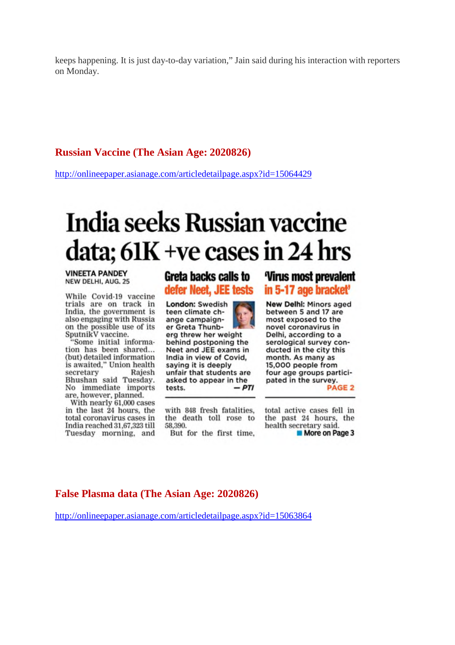keeps happening. It is just day-to-day variation," Jain said during his interaction with reporters on Monday.

#### **Russian Vaccine (The Asian Age: 2020826)**

http://onlineepaper.asianage.com/articledetailpage.aspx?id=15064429

## India seeks Russian vaccine  $data$ ; 61K +ve cases in 24 hrs

**VINEETA PANDEY** NEW DELHI, AUG. 25

While Covid-19 vaccine trials are on track in India, the government is also engaging with Russia on the possible use of its<br>SputnikV vaccine.

"Some initial information has been shared... (but) detailed information<br>is awaited," Union health secretary Rajesh Bhushan said Tuesday. No immediate imports are, however, planned.

With nearly 61,000 cases in the last 24 hours, the total coronavirus cases in India reached 31,67,323 till Tuesday morning, and

#### Greta backs calls to defer Neet, JEE tests

London: Swedish teen climate change campaigner Greta Thunberg threw her weight behind postponing the Neet and JEE exams in India in view of Covid, saying it is deeply unfair that students are asked to appear in the  $-PTI$ tests.

with 848 fresh fatalities, the death toll rose to 58.390

But for the first time.

#### Virus most prevalent in 5-17 age bracket<sup>®</sup>

New Delhi: Minors aged between 5 and 17 are most exposed to the novel coronavirus in Delhi, according to a serological survey conducted in the city this month. As many as 15,000 people from four age groups participated in the survey. PAGE<sub>2</sub>

total active cases fell in the past 24 hours, the health secretary said. More on Page 3

#### **False Plasma data (The Asian Age: 2020826)**

http://onlineepaper.asianage.com/articledetailpage.aspx?id=15063864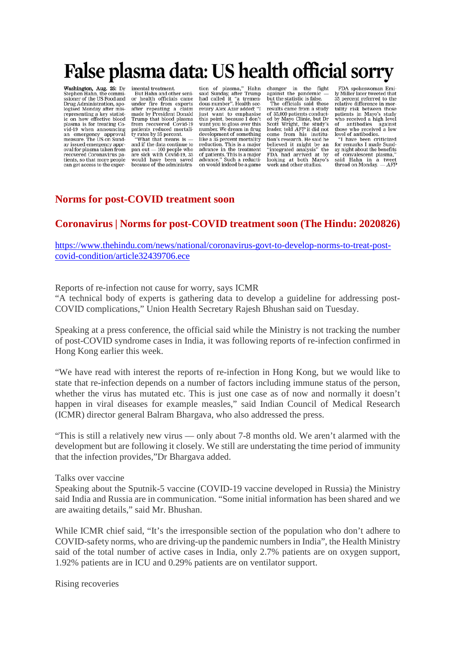## False plasma data: US health official sorry

Washington, Aug. 25: Dr Stephen Hahn, the commissioner of the US Food and<br>Drug Administration, apologised Monday after mis-<br>representing a key statistic on how effective blood ic on now effective blood<br>plasma is for treating Co-<br>vid-19 when announcing<br>an emergency approval<br>measure. The US on Sund-<br>ay issued emergency approval for plasma taken from recovered Coronavirus patients, so that more people can get access to the exper-

imental treatment. But Hahn and other seniout hail and other sem-<br>or health officials came<br>under fire from experts dinaer tire from experts<br>after repeating a claim<br>made by President Donald<br>Trump that blood plasma<br>from recovered Covid-19<br>patients reduced mortality rates by 35 percent.<br>"What that means is —<br>and if the data continue to

 $pan out - 100 people who are sick with Covid-19, 35 would have been saved.$ because of the administration of plasma," Hahn<br>said Sunday, after Trump<br>had called it "a tremen-<br>dous number". Health secretary Alex Azar added: "I<br>just want to emphasise just want to emphasise<br>this point, because I don't want you to gloss over this<br>number. We dream in drug development of something like a 35 percent mortality<br>reduction. This is a major advance in the treatment<br>of patients. This is a major<br>advance." Such a reduction would indeed be a game

 $\begin{tabular}{ll} \texttt{changer} & \texttt{in} & \texttt{the fight} \\ \texttt{against the pandemic} & \texttt{-} \\ \texttt{but the statistic is false.} & \texttt{The officials said these} \end{tabular}$ 

Ine officials said these<br>results can a study<br>of 35,000 patients conduct-<br>ed by Mayo Clinic, but Dr<br>Scott Wright, the study's<br>leader, told *AFP* it did not reader, out *AFP* it un not<br>come from his institu-<br>tion's research. He said he<br>"integrated analysis" the<br>FDA had arrived at by<br>looking at both Mayo's work and other studies.

FDA spokeswoman Emi-<br>ly Miller later tweeted that 35 percent referred to the<br>relative difference in mortality risk between those<br>patients in Mayo's study<br>who received a high level who received a high level<br>of antibodies against<br>those who received a low<br>level of antibodies.

"I have been criticized<br>for remarks I made Sundfor remarks I made Sunday night about the benefits<br>of convalescent plasma," ay ingin about the benefits<br>of convalescent plasma,"<br>said Hahn in a tweet  $thread on Monday. - AFP$ 

#### **Norms for post-COVID treatment soon**

#### **Coronavirus | Norms for post-COVID treatment soon (The Hindu: 2020826)**

https://www.thehindu.com/news/national/coronavirus-govt-to-develop-norms-to-treat-postcovid-condition/article32439706.ece

Reports of re-infection not cause for worry, says ICMR

"A technical body of experts is gathering data to develop a guideline for addressing post-COVID complications," Union Health Secretary Rajesh Bhushan said on Tuesday.

Speaking at a press conference, the official said while the Ministry is not tracking the number of post-COVID syndrome cases in India, it was following reports of re-infection confirmed in Hong Kong earlier this week.

"We have read with interest the reports of re-infection in Hong Kong, but we would like to state that re-infection depends on a number of factors including immune status of the person, whether the virus has mutated etc. This is just one case as of now and normally it doesn't happen in viral diseases for example measles," said Indian Council of Medical Research (ICMR) director general Balram Bhargava, who also addressed the press.

"This is still a relatively new virus — only about 7-8 months old. We aren't alarmed with the development but are following it closely. We still are understating the time period of immunity that the infection provides,"Dr Bhargava added.

Talks over vaccine

Speaking about the Sputnik-5 vaccine (COVID-19 vaccine developed in Russia) the Ministry said India and Russia are in communication. "Some initial information has been shared and we are awaiting details," said Mr. Bhushan.

While ICMR chief said, "It's the irresponsible section of the population who don't adhere to COVID-safety norms, who are driving-up the pandemic numbers in India", the Health Ministry said of the total number of active cases in India, only 2.7% patients are on oxygen support, 1.92% patients are in ICU and 0.29% patients are on ventilator support.

Rising recoveries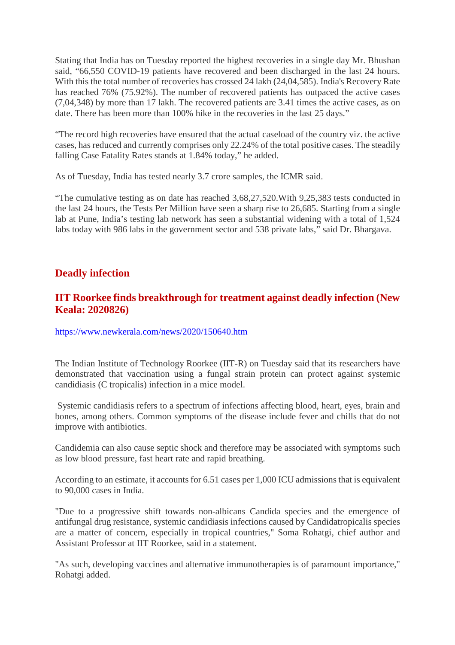Stating that India has on Tuesday reported the highest recoveries in a single day Mr. Bhushan said, "66,550 COVID-19 patients have recovered and been discharged in the last 24 hours. With this the total number of recoveries has crossed 24 lakh (24,04,585). India's Recovery Rate has reached 76% (75.92%). The number of recovered patients has outpaced the active cases (7,04,348) by more than 17 lakh. The recovered patients are 3.41 times the active cases, as on date. There has been more than 100% hike in the recoveries in the last 25 days."

"The record high recoveries have ensured that the actual caseload of the country viz. the active cases, has reduced and currently comprises only 22.24% of the total positive cases. The steadily falling Case Fatality Rates stands at 1.84% today," he added.

As of Tuesday, India has tested nearly 3.7 crore samples, the ICMR said.

"The cumulative testing as on date has reached 3,68,27,520.With 9,25,383 tests conducted in the last 24 hours, the Tests Per Million have seen a sharp rise to 26,685. Starting from a single lab at Pune, India's testing lab network has seen a substantial widening with a total of 1,524 labs today with 986 labs in the government sector and 538 private labs," said Dr. Bhargava.

#### **Deadly infection**

#### **IIT Roorkee finds breakthrough for treatment against deadly infection (New Keala: 2020826)**

https://www.newkerala.com/news/2020/150640.htm

The Indian Institute of Technology Roorkee (IIT-R) on Tuesday said that its researchers have demonstrated that vaccination using a fungal strain protein can protect against systemic candidiasis (C tropicalis) infection in a mice model.

Systemic candidiasis refers to a spectrum of infections affecting blood, heart, eyes, brain and bones, among others. Common symptoms of the disease include fever and chills that do not improve with antibiotics.

Candidemia can also cause septic shock and therefore may be associated with symptoms such as low blood pressure, fast heart rate and rapid breathing.

According to an estimate, it accounts for 6.51 cases per 1,000 ICU admissions that is equivalent to 90,000 cases in India.

"Due to a progressive shift towards non-albicans Candida species and the emergence of antifungal drug resistance, systemic candidiasis infections caused by Candidatropicalis species are a matter of concern, especially in tropical countries," Soma Rohatgi, chief author and Assistant Professor at IIT Roorkee, said in a statement.

"As such, developing vaccines and alternative immunotherapies is of paramount importance," Rohatgi added.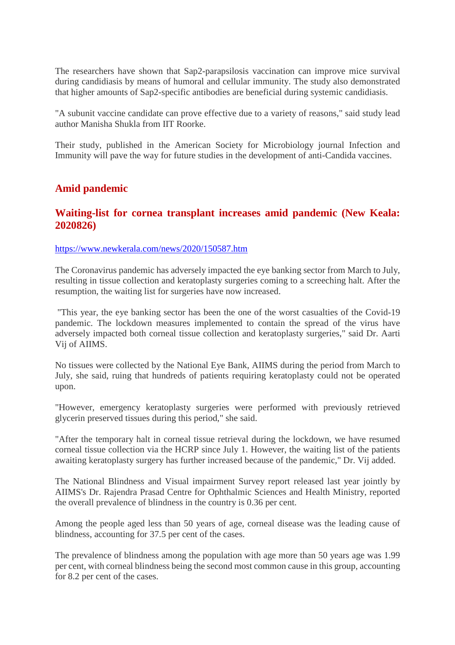The researchers have shown that Sap2-parapsilosis vaccination can improve mice survival during candidiasis by means of humoral and cellular immunity. The study also demonstrated that higher amounts of Sap2-specific antibodies are beneficial during systemic candidiasis.

"A subunit vaccine candidate can prove effective due to a variety of reasons," said study lead author Manisha Shukla from IIT Roorke.

Their study, published in the American Society for Microbiology journal Infection and Immunity will pave the way for future studies in the development of anti-Candida vaccines.

#### **Amid pandemic**

#### **Waiting-list for cornea transplant increases amid pandemic (New Keala: 2020826)**

#### https://www.newkerala.com/news/2020/150587.htm

The Coronavirus pandemic has adversely impacted the eye banking sector from March to July, resulting in tissue collection and keratoplasty surgeries coming to a screeching halt. After the resumption, the waiting list for surgeries have now increased.

"This year, the eye banking sector has been the one of the worst casualties of the Covid-19 pandemic. The lockdown measures implemented to contain the spread of the virus have adversely impacted both corneal tissue collection and keratoplasty surgeries," said Dr. Aarti Vij of AIIMS.

No tissues were collected by the National Eye Bank, AIIMS during the period from March to July, she said, ruing that hundreds of patients requiring keratoplasty could not be operated upon.

"However, emergency keratoplasty surgeries were performed with previously retrieved glycerin preserved tissues during this period," she said.

"After the temporary halt in corneal tissue retrieval during the lockdown, we have resumed corneal tissue collection via the HCRP since July 1. However, the waiting list of the patients awaiting keratoplasty surgery has further increased because of the pandemic," Dr. Vij added.

The National Blindness and Visual impairment Survey report released last year jointly by AIIMS's Dr. Rajendra Prasad Centre for Ophthalmic Sciences and Health Ministry, reported the overall prevalence of blindness in the country is 0.36 per cent.

Among the people aged less than 50 years of age, corneal disease was the leading cause of blindness, accounting for 37.5 per cent of the cases.

The prevalence of blindness among the population with age more than 50 years age was 1.99 per cent, with corneal blindness being the second most common cause in this group, accounting for 8.2 per cent of the cases.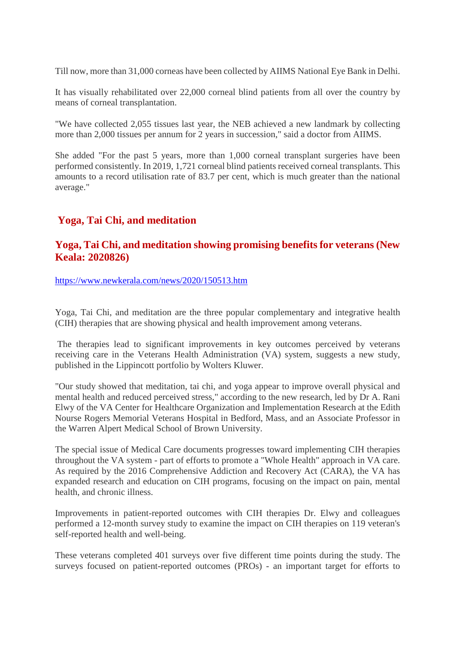Till now, more than 31,000 corneas have been collected by AIIMS National Eye Bank in Delhi.

It has visually rehabilitated over 22,000 corneal blind patients from all over the country by means of corneal transplantation.

"We have collected 2,055 tissues last year, the NEB achieved a new landmark by collecting more than 2,000 tissues per annum for 2 years in succession," said a doctor from AIIMS.

She added "For the past 5 years, more than 1,000 corneal transplant surgeries have been performed consistently. In 2019, 1,721 corneal blind patients received corneal transplants. This amounts to a record utilisation rate of 83.7 per cent, which is much greater than the national average."

#### **Yoga, Tai Chi, and meditation**

#### **Yoga, Tai Chi, and meditation showing promising benefits for veterans (New Keala: 2020826)**

https://www.newkerala.com/news/2020/150513.htm

Yoga, Tai Chi, and meditation are the three popular complementary and integrative health (CIH) therapies that are showing physical and health improvement among veterans.

The therapies lead to significant improvements in key outcomes perceived by veterans receiving care in the Veterans Health Administration (VA) system, suggests a new study, published in the Lippincott portfolio by Wolters Kluwer.

"Our study showed that meditation, tai chi, and yoga appear to improve overall physical and mental health and reduced perceived stress," according to the new research, led by Dr A. Rani Elwy of the VA Center for Healthcare Organization and Implementation Research at the Edith Nourse Rogers Memorial Veterans Hospital in Bedford, Mass, and an Associate Professor in the Warren Alpert Medical School of Brown University.

The special issue of Medical Care documents progresses toward implementing CIH therapies throughout the VA system - part of efforts to promote a "Whole Health" approach in VA care. As required by the 2016 Comprehensive Addiction and Recovery Act (CARA), the VA has expanded research and education on CIH programs, focusing on the impact on pain, mental health, and chronic illness.

Improvements in patient-reported outcomes with CIH therapies Dr. Elwy and colleagues performed a 12-month survey study to examine the impact on CIH therapies on 119 veteran's self-reported health and well-being.

These veterans completed 401 surveys over five different time points during the study. The surveys focused on patient-reported outcomes (PROs) - an important target for efforts to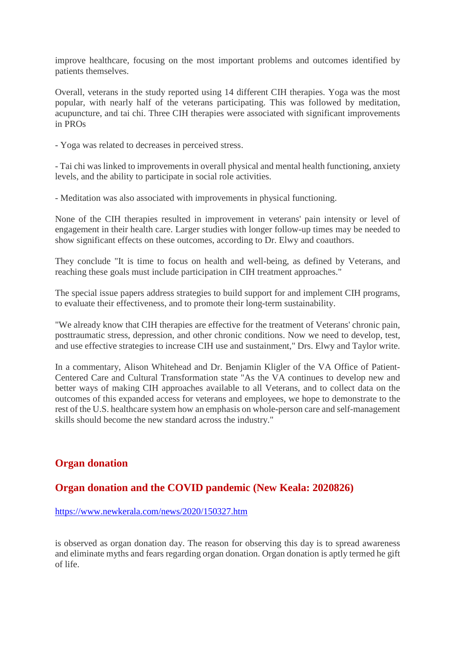improve healthcare, focusing on the most important problems and outcomes identified by patients themselves.

Overall, veterans in the study reported using 14 different CIH therapies. Yoga was the most popular, with nearly half of the veterans participating. This was followed by meditation, acupuncture, and tai chi. Three CIH therapies were associated with significant improvements in PROs

- Yoga was related to decreases in perceived stress.

- Tai chi was linked to improvements in overall physical and mental health functioning, anxiety levels, and the ability to participate in social role activities.

- Meditation was also associated with improvements in physical functioning.

None of the CIH therapies resulted in improvement in veterans' pain intensity or level of engagement in their health care. Larger studies with longer follow-up times may be needed to show significant effects on these outcomes, according to Dr. Elwy and coauthors.

They conclude "It is time to focus on health and well-being, as defined by Veterans, and reaching these goals must include participation in CIH treatment approaches."

The special issue papers address strategies to build support for and implement CIH programs, to evaluate their effectiveness, and to promote their long-term sustainability.

"We already know that CIH therapies are effective for the treatment of Veterans' chronic pain, posttraumatic stress, depression, and other chronic conditions. Now we need to develop, test, and use effective strategies to increase CIH use and sustainment," Drs. Elwy and Taylor write.

In a commentary, Alison Whitehead and Dr. Benjamin Kligler of the VA Office of Patient-Centered Care and Cultural Transformation state "As the VA continues to develop new and better ways of making CIH approaches available to all Veterans, and to collect data on the outcomes of this expanded access for veterans and employees, we hope to demonstrate to the rest of the U.S. healthcare system how an emphasis on whole-person care and self-management skills should become the new standard across the industry."

#### **Organ donation**

#### **Organ donation and the COVID pandemic (New Keala: 2020826)**

https://www.newkerala.com/news/2020/150327.htm

is observed as organ donation day. The reason for observing this day is to spread awareness and eliminate myths and fears regarding organ donation. Organ donation is aptly termed he gift of life.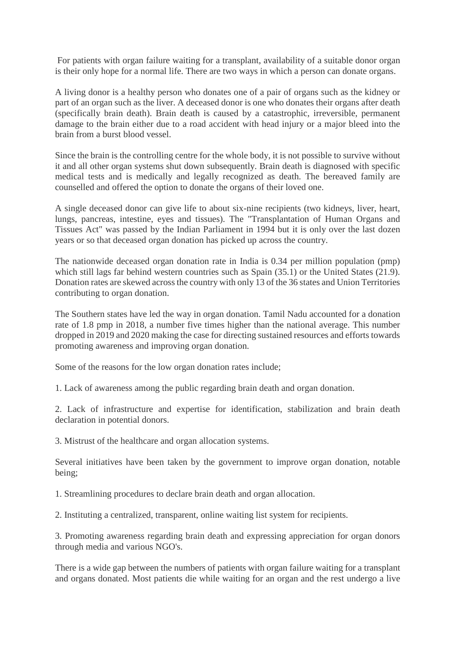For patients with organ failure waiting for a transplant, availability of a suitable donor organ is their only hope for a normal life. There are two ways in which a person can donate organs.

A living donor is a healthy person who donates one of a pair of organs such as the kidney or part of an organ such as the liver. A deceased donor is one who donates their organs after death (specifically brain death). Brain death is caused by a catastrophic, irreversible, permanent damage to the brain either due to a road accident with head injury or a major bleed into the brain from a burst blood vessel.

Since the brain is the controlling centre for the whole body, it is not possible to survive without it and all other organ systems shut down subsequently. Brain death is diagnosed with specific medical tests and is medically and legally recognized as death. The bereaved family are counselled and offered the option to donate the organs of their loved one.

A single deceased donor can give life to about six-nine recipients (two kidneys, liver, heart, lungs, pancreas, intestine, eyes and tissues). The "Transplantation of Human Organs and Tissues Act" was passed by the Indian Parliament in 1994 but it is only over the last dozen years or so that deceased organ donation has picked up across the country.

The nationwide deceased organ donation rate in India is 0.34 per million population (pmp) which still lags far behind western countries such as Spain (35.1) or the United States (21.9). Donation rates are skewed across the country with only 13 of the 36 states and Union Territories contributing to organ donation.

The Southern states have led the way in organ donation. Tamil Nadu accounted for a donation rate of 1.8 pmp in 2018, a number five times higher than the national average. This number dropped in 2019 and 2020 making the case for directing sustained resources and efforts towards promoting awareness and improving organ donation.

Some of the reasons for the low organ donation rates include;

1. Lack of awareness among the public regarding brain death and organ donation.

2. Lack of infrastructure and expertise for identification, stabilization and brain death declaration in potential donors.

3. Mistrust of the healthcare and organ allocation systems.

Several initiatives have been taken by the government to improve organ donation, notable being;

1. Streamlining procedures to declare brain death and organ allocation.

2. Instituting a centralized, transparent, online waiting list system for recipients.

3. Promoting awareness regarding brain death and expressing appreciation for organ donors through media and various NGO's.

There is a wide gap between the numbers of patients with organ failure waiting for a transplant and organs donated. Most patients die while waiting for an organ and the rest undergo a live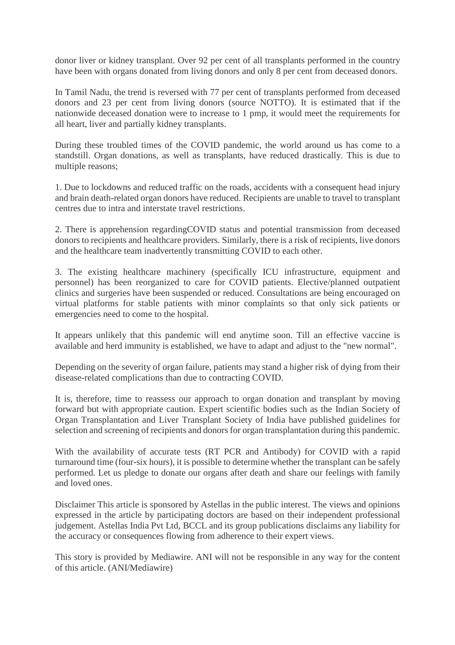donor liver or kidney transplant. Over 92 per cent of all transplants performed in the country have been with organs donated from living donors and only 8 per cent from deceased donors.

In Tamil Nadu, the trend is reversed with 77 per cent of transplants performed from deceased donors and 23 per cent from living donors (source NOTTO). It is estimated that if the nationwide deceased donation were to increase to 1 pmp, it would meet the requirements for all heart, liver and partially kidney transplants.

During these troubled times of the COVID pandemic, the world around us has come to a standstill. Organ donations, as well as transplants, have reduced drastically. This is due to multiple reasons;

1. Due to lockdowns and reduced traffic on the roads, accidents with a consequent head injury and brain death-related organ donors have reduced. Recipients are unable to travel to transplant centres due to intra and interstate travel restrictions.

2. There is apprehension regardingCOVID status and potential transmission from deceased donors to recipients and healthcare providers. Similarly, there is a risk of recipients, live donors and the healthcare team inadvertently transmitting COVID to each other.

3. The existing healthcare machinery (specifically ICU infrastructure, equipment and personnel) has been reorganized to care for COVID patients. Elective/planned outpatient clinics and surgeries have been suspended or reduced. Consultations are being encouraged on virtual platforms for stable patients with minor complaints so that only sick patients or emergencies need to come to the hospital.

It appears unlikely that this pandemic will end anytime soon. Till an effective vaccine is available and herd immunity is established, we have to adapt and adjust to the "new normal".

Depending on the severity of organ failure, patients may stand a higher risk of dying from their disease-related complications than due to contracting COVID.

It is, therefore, time to reassess our approach to organ donation and transplant by moving forward but with appropriate caution. Expert scientific bodies such as the Indian Society of Organ Transplantation and Liver Transplant Society of India have published guidelines for selection and screening of recipients and donors for organ transplantation during this pandemic.

With the availability of accurate tests (RT PCR and Antibody) for COVID with a rapid turnaround time (four-six hours), it is possible to determine whether the transplant can be safely performed. Let us pledge to donate our organs after death and share our feelings with family and loved ones.

Disclaimer This article is sponsored by Astellas in the public interest. The views and opinions expressed in the article by participating doctors are based on their independent professional judgement. Astellas India Pvt Ltd, BCCL and its group publications disclaims any liability for the accuracy or consequences flowing from adherence to their expert views.

This story is provided by Mediawire. ANI will not be responsible in any way for the content of this article. (ANI/Mediawire)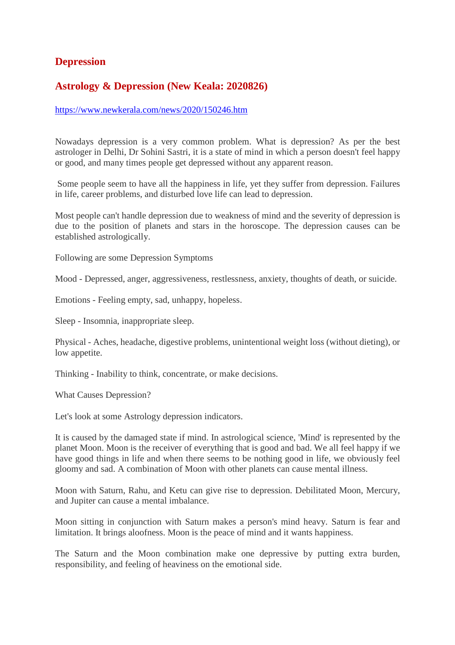#### **Depression**

#### **Astrology & Depression (New Keala: 2020826)**

#### https://www.newkerala.com/news/2020/150246.htm

Nowadays depression is a very common problem. What is depression? As per the best astrologer in Delhi, Dr Sohini Sastri, it is a state of mind in which a person doesn't feel happy or good, and many times people get depressed without any apparent reason.

Some people seem to have all the happiness in life, yet they suffer from depression. Failures in life, career problems, and disturbed love life can lead to depression.

Most people can't handle depression due to weakness of mind and the severity of depression is due to the position of planets and stars in the horoscope. The depression causes can be established astrologically.

Following are some Depression Symptoms

Mood - Depressed, anger, aggressiveness, restlessness, anxiety, thoughts of death, or suicide.

Emotions - Feeling empty, sad, unhappy, hopeless.

Sleep - Insomnia, inappropriate sleep.

Physical - Aches, headache, digestive problems, unintentional weight loss (without dieting), or low appetite.

Thinking - Inability to think, concentrate, or make decisions.

What Causes Depression?

Let's look at some Astrology depression indicators.

It is caused by the damaged state if mind. In astrological science, 'Mind' is represented by the planet Moon. Moon is the receiver of everything that is good and bad. We all feel happy if we have good things in life and when there seems to be nothing good in life, we obviously feel gloomy and sad. A combination of Moon with other planets can cause mental illness.

Moon with Saturn, Rahu, and Ketu can give rise to depression. Debilitated Moon, Mercury, and Jupiter can cause a mental imbalance.

Moon sitting in conjunction with Saturn makes a person's mind heavy. Saturn is fear and limitation. It brings aloofness. Moon is the peace of mind and it wants happiness.

The Saturn and the Moon combination make one depressive by putting extra burden, responsibility, and feeling of heaviness on the emotional side.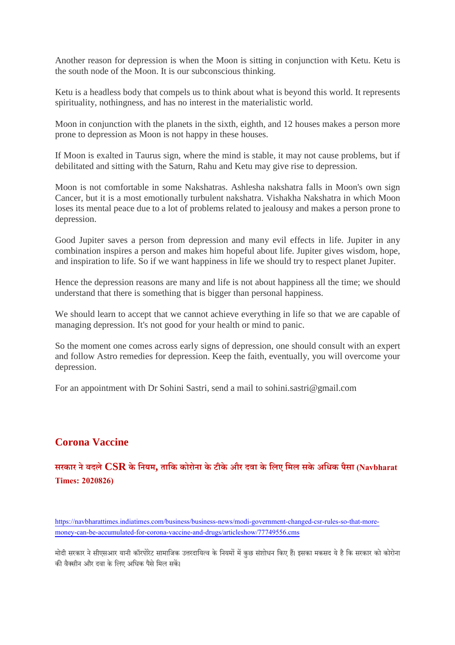Another reason for depression is when the Moon is sitting in conjunction with Ketu. Ketu is the south node of the Moon. It is our subconscious thinking.

Ketu is a headless body that compels us to think about what is beyond this world. It represents spirituality, nothingness, and has no interest in the materialistic world.

Moon in conjunction with the planets in the sixth, eighth, and 12 houses makes a person more prone to depression as Moon is not happy in these houses.

If Moon is exalted in Taurus sign, where the mind is stable, it may not cause problems, but if debilitated and sitting with the Saturn, Rahu and Ketu may give rise to depression.

Moon is not comfortable in some Nakshatras. Ashlesha nakshatra falls in Moon's own sign Cancer, but it is a most emotionally turbulent nakshatra. Vishakha Nakshatra in which Moon loses its mental peace due to a lot of problems related to jealousy and makes a person prone to depression.

Good Jupiter saves a person from depression and many evil effects in life. Jupiter in any combination inspires a person and makes him hopeful about life. Jupiter gives wisdom, hope, and inspiration to life. So if we want happiness in life we should try to respect planet Jupiter.

Hence the depression reasons are many and life is not about happiness all the time; we should understand that there is something that is bigger than personal happiness.

We should learn to accept that we cannot achieve everything in life so that we are capable of managing depression. It's not good for your health or mind to panic.

So the moment one comes across early signs of depression, one should consult with an expert and follow Astro remedies for depression. Keep the faith, eventually, you will overcome your depression.

For an appointment with Dr Sohini Sastri, send a mail to sohini.sastri@gmail.com

#### **Corona Vaccine**

#### **सरकार नेबदलेCSR के िनयम, तािक कोरोना के टीके और दवा के िलए िमल सकेअिधक पैसा (Navbharat Times: 2020826)**

https://navbharattimes.indiatimes.com/business/business-news/modi-government-changed-csr-rules-so-that-moremoney-can-be-accumulated-for-corona-vaccine-and-drugs/articleshow/77749556.cms

मोदी सरकार ने सीएसआर यानी कॉरपोरेट सामाजिक उत्तरदायित्व के नियमों में कुछ संशोधन किए हैं। इसका मकसद ये है कि सरकार को कोरोना की वैक्सीन और दवा के लिए अधिक पैसे मिल सकें।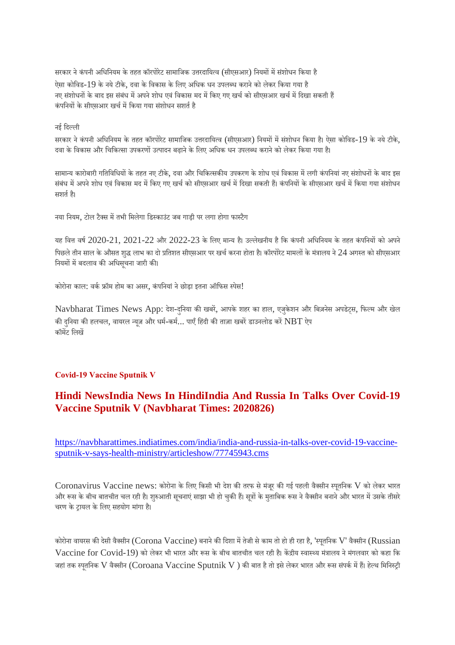सरकार ने कंपनी अधिनियम के तहत कॉरपोरेट सामाजिक उत्तरदायित्व (सीएसआर) नियमों में संशोधन किया है ऐसा कोविड-19 के नये टीके, दवा के विकास के लिए अधिक धन उपलब्ध कराने को लेकर किया गया है नए संशोधनों के बाद इस संबंध में अपने शोध एवं विकास मद में किए गए खर्च को सीएसआर खर्च में दिखा सकती हैं कंपनियों के सीएसआर खर्च में किया गया संशोधन सशर्त है

नई िदली

सरकार ने कंपनी अधिनियम के तहत कॉरपोरेट सामाजिक उत्तरदायित्व (सीएसआर) नियमों में संशोधन किया है। ऐसा कोविड-19 के नये टीके, दवा के विकास और चिकित्सा उपकरणों उत्पादन बढ़ाने के लिए अधिक धन उपलब्ध कराने को लेकर किया गया है।

सामान्य कारोबारी गतिविधियों के तहत नए टीके, दवा और चिकित्सकीय उपकरण के शोध एवं विकास में लगी कंपनियां नए संशोधनों के बाद इस संबंध में अपने शोध एवं विकास मद में किए गए खर्च को सीएसआर खर्च में दिखा सकती हैं। कंपनियों के सीएसआर खर्च में किया गया संशोधन सशर्त है।

नया नियम, टोल टैक्स में तभी मिलेगा डिस्काउंट जब गाड़ी पर लगा होगा फास्टैग

यह वित्त वर्ष 2020-21, 2021-22 और 2022-23 के लिए मान्य है। उल्लेखनीय है कि कंपनी अधिनियम के तहत कंपनियों को अपने पिछले तीन साल के औसत शुद्ध लाभ का दो प्रतिशत सीएसआर पर खर्च करना होता है। कॉरपोरेट मामलों के मंत्रालय ने 24 अगस्त को सीएसआर नियमों में बदलाव की अधिसचना जारी की।

कोरोना काल: वर्क फ्रॉम होम का असर, कंपनियां ने छोड़ा इतना ऑफिस स्पेस!

Navbharat Times News App: देश-दुनिया की खबरें, आपके शहर का हाल, एजुकेशन और बिज़नेस अपडेट्स, फिल्म और खेल की दनिया की हलचल, वायरल न्यूज़ और धर्म-कर्म... पाएँ हिंदी की ताज़ा खबरें डाउनलोड करें  $\operatorname{NBT}$  ऐप कॉमेंट लिखें

#### **Covid-19 Vaccine Sputnik V**

#### **Hindi NewsIndia News In HindiIndia And Russia In Talks Over Covid-19 Vaccine Sputnik V (Navbharat Times: 2020826)**

https://navbharattimes.indiatimes.com/india/india-and-russia-in-talks-over-covid-19-vaccinesputnik-v-says-health-ministry/articleshow/77745943.cms

Coronavirus Vaccine news: कोरोना के लिए किसी भी देश की तरफ से मंजूर की गई पहली वैक्सीन स्पृतनिक V को लेकर भारत और रूस के बीच बातचीत चल रही है। शुरुआती सचनाएं साझा भी हो चुकी हैं। सूत्रों के मताबिक रूस ने वैक्सीन बनाने और भारत में उसके तीसरे चरण के टायल के लिए सहयोग मांगा है।

कोरोना वायरस की देसी वैक्सीन (Corona Vaccine) बनाने की दिशा में तेजी से काम तो हो ही रहा है, 'स्पतनिक V' वैक्सीन (Russian Vaccine for Covid-19) को लेकर भी भारत और रूस के बीच बातचीत चल रही है। केंद्रीय स्वास्थ्य मंत्रालय ने मंगलवार को कहा कि जहां तक स्पतनिक V वैक्सीन (Coroana Vaccine Sputnik V) की बात है तो इसे लेकर भारत और रूस संपर्क में हैं। हेल्थ मिनिस्ट्री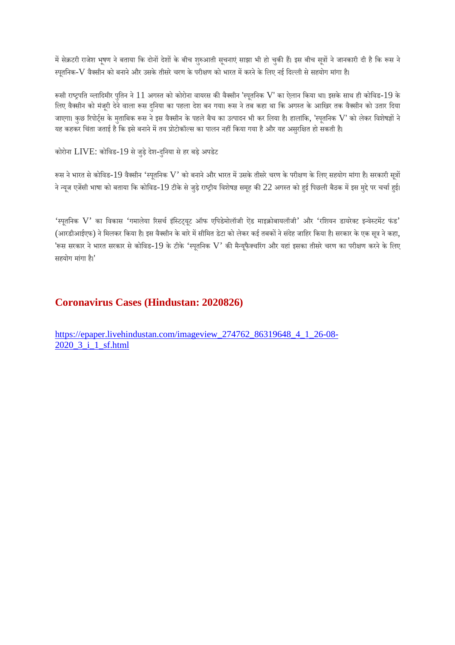में सेक्रटरी राजेश भूषण ने बताया कि दोनों देशों के बीच शुरुआती सूचनाएं साझा भी हो चुकी हैं। इस बीच सूत्रों ने जानकारी दी है कि रूस ने स्पूतनिक-V वैक्सीन को बनाने और उसके तीसरे चरण के परीक्षण को भारत में करने के लिए नई दिल्ली से सहयोग मांगा है।

रूसी राष्ट्रपति व्लादिमीर पुतिन ने  $11$  अगस्त को कोरोना वायरस की वैक्सीन 'स्पूतनिक  ${\rm V}$ ' का ऐलान किया था। इसके साथ ही कोविड- $19$  के लिए वैक्सीन को मंजूरी देने वाला रूस दुनिया का पहला देश बन गया। रूस ने तब कहा था कि अगस्त के आखिर तक वैक्सीन को उतार दिया जाएगा। कुछ रिपोर्ट्स के मुताबिक रूस ने इस वैक्सीन के पहले बैच का उत्पादन भी कर लिया है। हालांकि, 'स्पूतनिक V' को लेकर विशेषज्ञों ने यह कहकर चिंता जताई है कि इसे बनाने में तय प्रोटोकॉल्स का पालन नहीं किया गया है और यह असरक्षित हो सकती है।

कोरोना  $LIVE$ : कोविड-19 से जुड़े देश-दुनिया से हर बड़े अपडेट

रूस ने भारत से कोविड-19 वैक्सीन 'स्पूतनिक V' को बनाने और भारत में उसके तीसरे चरण के परीक्षण के लिए सहयोग मांगा है। सरकारी सूत्रों ने न्यूज एजेंसी भाषा को बताया कि कोविड-19 टीके से जुड़े राष्ट्रीय विशेषज्ञ समूह की 22 अगस्त को हुई पिछली बैठक में इस मुद्दे पर चर्चा हुई।

'स्पूतनिक V' का विकास 'गमालेया रिसर्च इंस्टिट्यूट ऑफ एपिडेमोलॉजी ऐंड माइक्रोबायलॉजी' और 'रशियन डायरेक्ट इन्वेस्टमेंट फंड' (आरडीआईएफ) ने मिलकर किया है। इस वैक्सीन के बारे में सीमित डेटा को लेकर कई तबकों ने संदेह जाहिर किया है। सरकार के एक सूत्र ने कहा, 'रूस सरकार ने भारत सरकार से कोविड-19 के टीके 'स्पूतनिक  $\rm V$ ' की मैन्यूफैक्चरिंग और यहां इसका तीसरे चरण का परीक्षण करने के लिए सहयोग मांगा ह।ै'

#### **Coronavirus Cases (Hindustan: 2020826)**

https://epaper.livehindustan.com/imageview\_274762\_86319648\_4\_1\_26-08- 2020\_3\_i\_1\_sf.html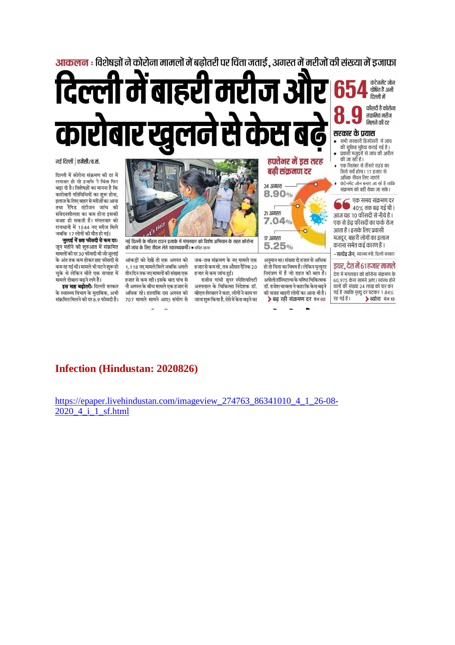#### आकलन : विशेषज्ञों ने कोरोना मामलों में बढोतरी पर चिंता जताई , अगस्त में मरीजों की संख्या में इजाफा

कंटेनमेंट जोन घोषित हैं अभी दिल्ली में

फीसदी है कोरोना संकमित मरीज मिलने की दर

#### सरकार के प्रयास

8

- सभी सरकारी डिस्पेंसरी में जांच राना राख्यारा छरवरारा न जाव<br>की सुविधा मुहैया कराई गई है ।<br>प्रवासी मजूदरों से जांच की अपील  $\bullet$
- की जा रही है। एक सितंबर से तीसरे राउंड का सिरो सर्वे होगा। 17 हजार से अधिक सैंपल लिए जाएंगे
- जाबक रावरा हिंदू जाएग<br>कंटेनमेंट जोन बनाए जा रहे हैं ताकि संक्रमण को वहीं रोका जा सके।

एक समय संक्रमण दर ●<br>▲ 40% तक बढ़ गई थी । आज यह 10 फीसदी से नीचे है । एक से डेढ फीसदी का फर्क रोज आता है । इसके लिए प्रवासी मजदूर, बाहरी लोगों का इलाज कराना समेत कई कारण हैं। – **सत्येंद्र जैन**, स्वास्थ्य मंत्री, दिल्ली सरकार

#### इधर. देश में 61 हजार मामले

.<br>देश में मंगलवार को कोरोना संक्रमण के 60,975 केस सामने आए। स्वस्थ होने वालों की संख्या 24 लाख को पार कर गई है जबकि मृत्यु दर घटकर 1.84% रह गई है। > ब्योरा पेज 13

# दिल्ली में बाहरी मरीज औ से केस रोबार खल

#### नई दिल्ली | एजेंसी/व.सं.

दिल्ली में कोरोना संक्रमण की दर में लगातार हो रहे इजाफे ने चिंता फिर बढ़ा दी है। विशेषज्ञों का मानना है कि कारोबारी गतिविधियों का शरू होना. डलाज के लिए बाहर से मरीजों का आना रतारामगरारचालरतपत्रज्ञानगरात<br>तथा रैपिड एंटीजन जांच की संवेदनशीलता का कम होना इसकी वजह हो सकती है। मंगलवार को राजधानी में 1544 नए मरीज मिले जबकि 17 लोगों की मौत हो गई।

जुलाई में छह फीसदी से कम दरः जून महीने की शुरुआत में संक्रमित मामलों की दर 30 फीसदी थी जो जुलाई के अंत तक कम होकर छह फीसदी से कम रह गई थी। मामले भी घटने शुरू हो चुके थे लेकिन बीते एक सप्ताह में मामले दोबारा बढ़ने लगे हैं।

इस माह बढ़ोतरीः दिल्ली सरकार के स्वास्थ्य विभाग के मताबिक, अभी संक्रमित मिलने की दर 8.9 फीसदी है।



की जांच के लिए सैपल लेते स्वास्थ्यकर्मी। • संचित खन्ना

आंकडों को देखें तो एक अगस्त को 1,118 नए मामले मिले जबकि अगले तीन दिन तक नए मामलों की संख्या एक हजार से कम रही। इसके बाद पांच से नौ अगस्त के बीच मामले एक हजार से अधिक रहे। हालांकि दस अगस्त को 707 मामले सामने आए। संयोग से

जब-जब संक्रमण के नए मामले एक हजारसे कम रहे, तब औसत दैनिक 20 हजार से कम जांच हुई। राजीव गांधी सुपर स्पेशियलिटी अस्पताल के चिकित्सा निदेशक डॉ. बीएल शेरवाल ने कहा, लोगों ने काम पर

जाना शरूकिया है. ऐसे में केस बढने का

१७ अगस्त  $5.25%$ अनुमान था। संख्या दो हजार से अधिक हो तो चिंता का विषय है। लेकिन मृत्युदर

नियंत्रण में है जो राहत की बात है। अपोलो हॉस्पिटल्स के वरिष्ठ चिकित्सक डॉ. राजेश चावला ने कहा कि केस बढ़ने की वजह बाहरी लोगों का आना भी है। ▶ बढ रही संक्रमण दर फेन 02

हफ्तेभर में इस तरह

बढी संक्रमण दर

२४ अगस्त

२१ अगस्त

8.90%

7.04%

#### **Infection (Hindustan: 2020826)**

https://epaper.livehindustan.com/imageview\_274763\_86341010\_4\_1\_26-08- 2020\_4\_i\_1\_sf.html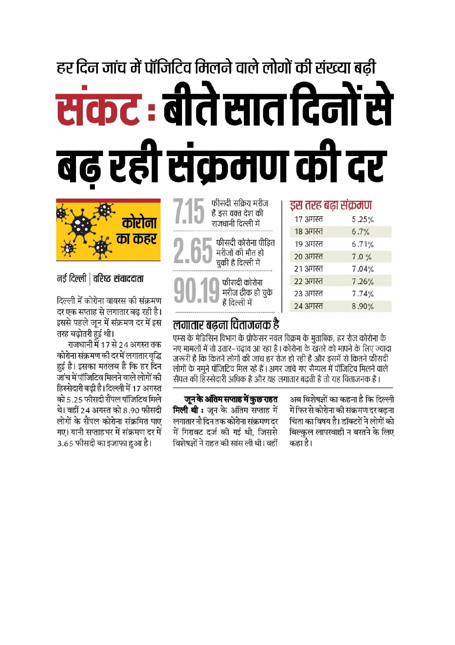# हर दिन जांच में पॉजिटिव मिलने वाले लोगों की संख्या बढ़ी सकट : बीते सात दिन बढ रहा सक्रमण का दर



#### नई दिल्ली | वरिष्ठ संवाददाता

दिल्ली में कोरोना वायरस की संक्रमण दर एक सप्ताह से लगातार बढ़ रही है। इससे पहले जून में संक्रमण दर में इस तरह बढ़ोतरी हुई थी।

राजधानी में 17 से 24 अगस्त तक कोरोना संक्रमण की दरमें लगातार वृद्धि हुई है। इसका मतलब है कि हर दिन जांच में पॉजिटिव मिलने वाले लोगों की हिस्सेदारी बढ़ी है। दिल्ली में 17 अगस्त को 5.25 फीसदी सैंपल पॉजिटिव मिले थे। वहीं 24 अगस्त को 8.90 फीसदी लोगों के सैंपल कोरोना संक्रमित पाए गए। यानी सप्ताहभर में संक्रमण दर में 3.65 फीसदी का इजाफा हुआ है।



#### इस तरह बढा सक्रमण

| 17 अगस्त | 5.25% |
|----------|-------|
| 18 अगस्त | 6.7%  |
| 19 अगस्त | 6.71% |
| 20 अगस्त | 7.0%  |
| 21 अगस्त | 7.04% |
| 22 अगस्त | 7.26% |
| 23 अगस्त | 7.74% |
| 24 अगस्त | 8.90% |
|          |       |

#### लगातार बढना चिंताजनक है

एम्स के मेडिसिन विभाग के प्रोफेसर नवल विक्रम के मुताबिक, हर रोज कोरोना के नए मामलों में तो उतार–चढाव आ रहा है। कोरोना के खतरे को मापने के लिए ज्यादा जरूरी है कि कितने लोगों की जांच हर रोज हो रही है और इसमें से कितने फीसदी लोगों के नमूने पॉजिटिव मिल रहे हैं। अगर जांचे गए सैम्पल में पॉजिटिव मिलने वाले सैंपल की हिस्सेदारी अधिक है और यह लगातार बढ़ती है तो यह चिंताजनक है ।

जून के अंतिम सप्ताह में कुछ राहत **मिली थी :** जून के अंतिम सप्ताह में लगातार नौ दिन तक कोरोना संक्रमण दर में गिरावट दर्ज की गई थी. जिससे विशेषज्ञों ने राहत की सांस ली थी। वहीं

अब विशेषज्ञों का कहना है कि दिल्ली में फिर से कोरोना की संक्रमण दर बढना चिंता का विषय है। डॉक्टरों ने लोगों को बिल्कुल लापरवाही न बरतने के लिए कहा है।